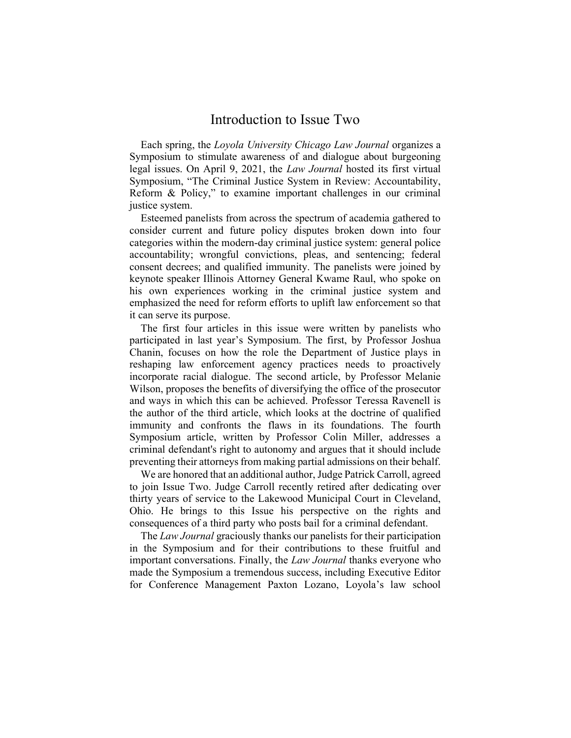## Introduction to Issue Two

Each spring, the Loyola University Chicago Law Journal organizes a Symposium to stimulate awareness of and dialogue about burgeoning legal issues. On April 9, 2021, the Law Journal hosted its first virtual Symposium, "The Criminal Justice System in Review: Accountability, Reform & Policy," to examine important challenges in our criminal justice system.

Esteemed panelists from across the spectrum of academia gathered to consider current and future policy disputes broken down into four categories within the modern-day criminal justice system: general police accountability; wrongful convictions, pleas, and sentencing; federal consent decrees; and qualified immunity. The panelists were joined by keynote speaker Illinois Attorney General Kwame Raul, who spoke on his own experiences working in the criminal justice system and emphasized the need for reform efforts to uplift law enforcement so that it can serve its purpose.

The first four articles in this issue were written by panelists who participated in last year's Symposium. The first, by Professor Joshua Chanin, focuses on how the role the Department of Justice plays in reshaping law enforcement agency practices needs to proactively incorporate racial dialogue. The second article, by Professor Melanie Wilson, proposes the benefits of diversifying the office of the prosecutor and ways in which this can be achieved. Professor Teressa Ravenell is the author of the third article, which looks at the doctrine of qualified immunity and confronts the flaws in its foundations. The fourth Symposium article, written by Professor Colin Miller, addresses a criminal defendant's right to autonomy and argues that it should include preventing their attorneys from making partial admissions on their behalf.

We are honored that an additional author, Judge Patrick Carroll, agreed to join Issue Two. Judge Carroll recently retired after dedicating over thirty years of service to the Lakewood Municipal Court in Cleveland, Ohio. He brings to this Issue his perspective on the rights and consequences of a third party who posts bail for a criminal defendant.

The Law Journal graciously thanks our panelists for their participation in the Symposium and for their contributions to these fruitful and important conversations. Finally, the *Law Journal* thanks everyone who made the Symposium a tremendous success, including Executive Editor for Conference Management Paxton Lozano, Loyola's law school